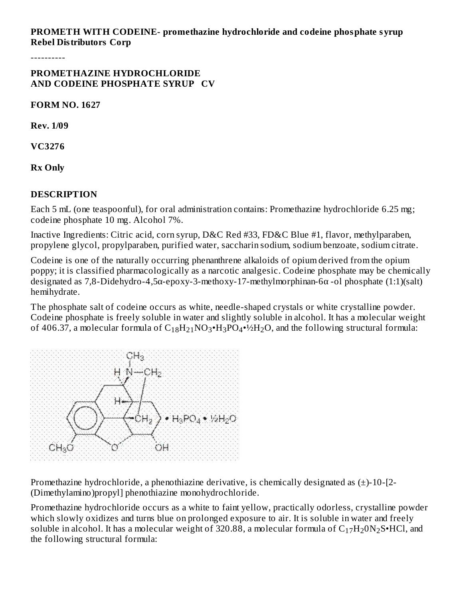**PROMETH WITH CODEINE- promethazine hydrochloride and codeine phosphate syrup Rebel Distributors Corp**

----------

#### **PROMETHAZINE HYDROCHLORIDE AND CODEINE PHOSPHATE SYRUP CV**

**FORM NO. 1627**

**Rev. 1/09**

**VC3276**

**Rx Only**

#### **DESCRIPTION**

Each 5 mL (one teaspoonful), for oral administration contains: Promethazine hydrochloride 6.25 mg; codeine phosphate 10 mg. Alcohol 7%.

Inactive Ingredients: Citric acid, corn syrup, D&C Red #33, FD&C Blue #1, flavor, methylparaben, propylene glycol, propylparaben, purified water, saccharin sodium, sodium benzoate, sodium citrate.

Codeine is one of the naturally occurring phenanthrene alkaloids of opium derived from the opium poppy; it is classified pharmacologically as a narcotic analgesic. Codeine phosphate may be chemically designated as 7,8-Didehydro-4,5α-epoxy-3-methoxy-17-methylmorphinan-6α -ol phosphate (1:1)(salt) hemihydrate.

The phosphate salt of codeine occurs as white, needle-shaped crystals or white crystalline powder. Codeine phosphate is freely soluble in water and slightly soluble in alcohol. It has a molecular weight of 406.37, a molecular formula of  $\rm{C_{18}H_{21}NO_3^{\bullet}H_3PO_4^{\bullet}\%H_2O}$ , and the following structural formula:



Promethazine hydrochloride, a phenothiazine derivative, is chemically designated as  $(\pm)$ -10-[2-(Dimethylamino)propyl] phenothiazine monohydrochloride.

Promethazine hydrochloride occurs as a white to faint yellow, practically odorless, crystalline powder which slowly oxidizes and turns blue on prolonged exposure to air. It is soluble in water and freely soluble in alcohol. It has a molecular weight of 320.88, a molecular formula of  $\rm{C_{17}H_{2}0N_{2}S\bullet}$ HCl, and the following structural formula: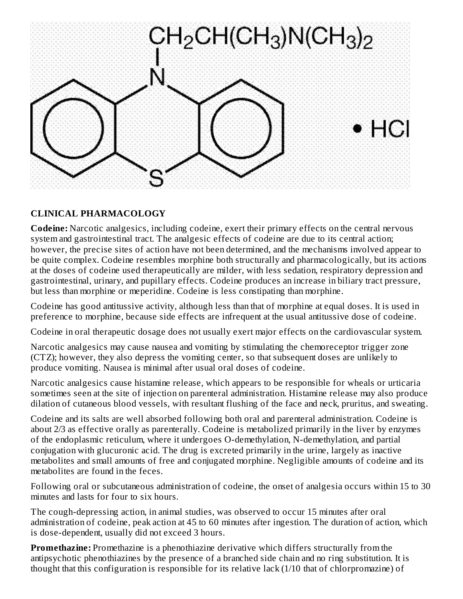

### **CLINICAL PHARMACOLOGY**

**Codeine:** Narcotic analgesics, including codeine, exert their primary effects on the central nervous system and gastrointestinal tract. The analgesic effects of codeine are due to its central action; however, the precise sites of action have not been determined, and the mechanisms involved appear to be quite complex. Codeine resembles morphine both structurally and pharmacologically, but its actions at the doses of codeine used therapeutically are milder, with less sedation, respiratory depression and gastrointestinal, urinary, and pupillary effects. Codeine produces an increase in biliary tract pressure, but less than morphine or meperidine. Codeine is less constipating than morphine.

Codeine has good antitussive activity, although less than that of morphine at equal doses. It is used in preference to morphine, because side effects are infrequent at the usual antitussive dose of codeine.

Codeine in oral therapeutic dosage does not usually exert major effects on the cardiovascular system.

Narcotic analgesics may cause nausea and vomiting by stimulating the chemoreceptor trigger zone (CTZ); however, they also depress the vomiting center, so that subsequent doses are unlikely to produce vomiting. Nausea is minimal after usual oral doses of codeine.

Narcotic analgesics cause histamine release, which appears to be responsible for wheals or urticaria sometimes seen at the site of injection on parenteral administration. Histamine release may also produce dilation of cutaneous blood vessels, with resultant flushing of the face and neck, pruritus, and sweating.

Codeine and its salts are well absorbed following both oral and parenteral administration. Codeine is about 2/3 as effective orally as parenterally. Codeine is metabolized primarily in the liver by enzymes of the endoplasmic reticulum, where it undergoes O-demethylation, N-demethylation, and partial conjugation with glucuronic acid. The drug is excreted primarily in the urine, largely as inactive metabolites and small amounts of free and conjugated morphine. Negligible amounts of codeine and its metabolites are found in the feces.

Following oral or subcutaneous administration of codeine, the onset of analgesia occurs within 15 to 30 minutes and lasts for four to six hours.

The cough-depressing action, in animal studies, was observed to occur 15 minutes after oral administration of codeine, peak action at 45 to 60 minutes after ingestion. The duration of action, which is dose-dependent, usually did not exceed 3 hours.

**Promethazine:** Promethazine is a phenothiazine derivative which differs structurally from the antipsychotic phenothiazines by the presence of a branched side chain and no ring substitution. It is thought that this configuration is responsible for its relative lack (1/10 that of chlorpromazine) of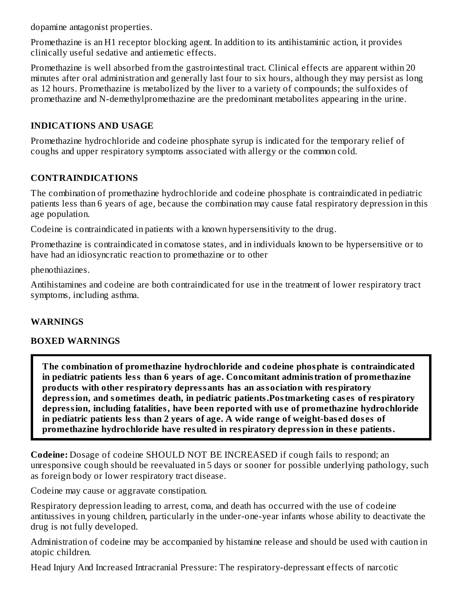dopamine antagonist properties.

Promethazine is an H1 receptor blocking agent. In addition to its antihistaminic action, it provides clinically useful sedative and antiemetic effects.

Promethazine is well absorbed from the gastrointestinal tract. Clinical effects are apparent within 20 minutes after oral administration and generally last four to six hours, although they may persist as long as 12 hours. Promethazine is metabolized by the liver to a variety of compounds; the sulfoxides of promethazine and N-demethylpromethazine are the predominant metabolites appearing in the urine.

### **INDICATIONS AND USAGE**

Promethazine hydrochloride and codeine phosphate syrup is indicated for the temporary relief of coughs and upper respiratory symptoms associated with allergy or the common cold.

### **CONTRAINDICATIONS**

The combination of promethazine hydrochloride and codeine phosphate is contraindicated in pediatric patients less than 6 years of age, because the combination may cause fatal respiratory depression in this age population.

Codeine is contraindicated in patients with a known hypersensitivity to the drug.

Promethazine is contraindicated in comatose states, and in individuals known to be hypersensitive or to have had an idiosyncratic reaction to promethazine or to other

phenothiazines.

Antihistamines and codeine are both contraindicated for use in the treatment of lower respiratory tract symptoms, including asthma.

### **WARNINGS**

### **BOXED WARNINGS**

**The combination of promethazine hydrochloride and codeine phosphate is contraindicated in pediatric patients less than 6 years of age. Concomitant administration of promethazine products with other respiratory depressants has an association with respiratory depression, and sometimes death, in pediatric patients.Postmarketing cas es of respiratory depression, including fatalities, have been reported with us e of promethazine hydrochloride in pediatric patients less than 2 years of age. A wide range of weight-bas ed dos es of promethazine hydrochloride have resulted in respiratory depression in thes e patients.**

**Codeine:** Dosage of codeine SHOULD NOT BE INCREASED if cough fails to respond; an unresponsive cough should be reevaluated in 5 days or sooner for possible underlying pathology, such as foreign body or lower respiratory tract disease.

Codeine may cause or aggravate constipation.

Respiratory depression leading to arrest, coma, and death has occurred with the use of codeine antitussives in young children, particularly in the under-one-year infants whose ability to deactivate the drug is not fully developed.

Administration of codeine may be accompanied by histamine release and should be used with caution in atopic children.

Head Injury And Increased Intracranial Pressure: The respiratory-depressant effects of narcotic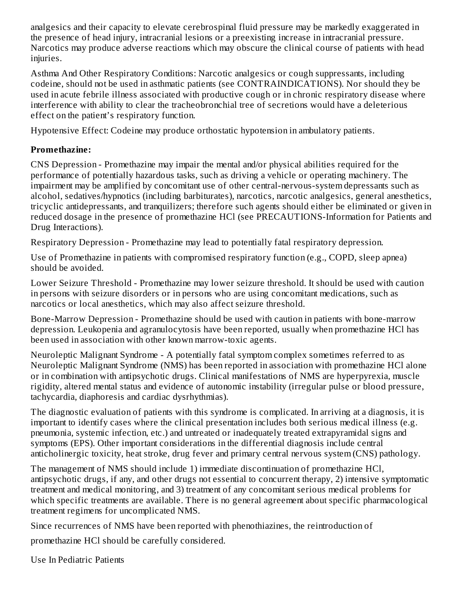analgesics and their capacity to elevate cerebrospinal fluid pressure may be markedly exaggerated in the presence of head injury, intracranial lesions or a preexisting increase in intracranial pressure. Narcotics may produce adverse reactions which may obscure the clinical course of patients with head injuries.

Asthma And Other Respiratory Conditions: Narcotic analgesics or cough suppressants, including codeine, should not be used in asthmatic patients (see CONTRAINDICATIONS). Nor should they be used in acute febrile illness associated with productive cough or in chronic respiratory disease where interference with ability to clear the tracheobronchial tree of secretions would have a deleterious effect on the patient's respiratory function.

Hypotensive Effect: Codeine may produce orthostatic hypotension in ambulatory patients.

## **Promethazine:**

CNS Depression - Promethazine may impair the mental and/or physical abilities required for the performance of potentially hazardous tasks, such as driving a vehicle or operating machinery. The impairment may be amplified by concomitant use of other central-nervous-system depressants such as alcohol, sedatives/hypnotics (including barbiturates), narcotics, narcotic analgesics, general anesthetics, tricyclic antidepressants, and tranquilizers; therefore such agents should either be eliminated or given in reduced dosage in the presence of promethazine HCl (see PRECAUTIONS-Information for Patients and Drug Interactions).

Respiratory Depression - Promethazine may lead to potentially fatal respiratory depression.

Use of Promethazine in patients with compromised respiratory function (e.g., COPD, sleep apnea) should be avoided.

Lower Seizure Threshold - Promethazine may lower seizure threshold. It should be used with caution in persons with seizure disorders or in persons who are using concomitant medications, such as narcotics or local anesthetics, which may also affect seizure threshold.

Bone-Marrow Depression - Promethazine should be used with caution in patients with bone-marrow depression. Leukopenia and agranulocytosis have been reported, usually when promethazine HCl has been used in association with other known marrow-toxic agents.

Neuroleptic Malignant Syndrome - A potentially fatal symptom complex sometimes referred to as Neuroleptic Malignant Syndrome (NMS) has been reported in association with promethazine HCl alone or in combination with antipsychotic drugs. Clinical manifestations of NMS are hyperpyrexia, muscle rigidity, altered mental status and evidence of autonomic instability (irregular pulse or blood pressure, tachycardia, diaphoresis and cardiac dysrhythmias).

The diagnostic evaluation of patients with this syndrome is complicated. In arriving at a diagnosis, it is important to identify cases where the clinical presentation includes both serious medical illness (e.g. pneumonia, systemic infection, etc.) and untreated or inadequately treated extrapyramidal signs and symptoms (EPS). Other important considerations in the differential diagnosis include central anticholinergic toxicity, heat stroke, drug fever and primary central nervous system (CNS) pathology.

The management of NMS should include 1) immediate discontinuation of promethazine HCl, antipsychotic drugs, if any, and other drugs not essential to concurrent therapy, 2) intensive symptomatic treatment and medical monitoring, and 3) treatment of any concomitant serious medical problems for which specific treatments are available. There is no general agreement about specific pharmacological treatment regimens for uncomplicated NMS.

Since recurrences of NMS have been reported with phenothiazines, the reintroduction of

promethazine HCl should be carefully considered.

Use In Pediatric Patients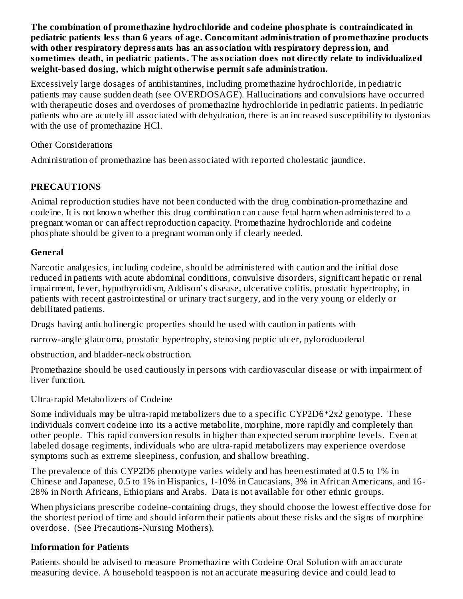**The combination of promethazine hydrochloride and codeine phosphate is contraindicated in pediatric patients less than 6 years of age. Concomitant administration of promethazine products with other respiratory depressants has an association with respiratory depression, and sometimes death, in pediatric patients. The association does not directly relate to individualized weight-bas ed dosing, which might otherwis e permit safe administration.**

Excessively large dosages of antihistamines, including promethazine hydrochloride, in pediatric patients may cause sudden death (see OVERDOSAGE). Hallucinations and convulsions have occurred with therapeutic doses and overdoses of promethazine hydrochloride in pediatric patients. In pediatric patients who are acutely ill associated with dehydration, there is an increased susceptibility to dystonias with the use of promethazine HCl.

Other Considerations

Administration of promethazine has been associated with reported cholestatic jaundice.

# **PRECAUTIONS**

Animal reproduction studies have not been conducted with the drug combination-promethazine and codeine. It is not known whether this drug combination can cause fetal harm when administered to a pregnant woman or can affect reproduction capacity. Promethazine hydrochloride and codeine phosphate should be given to a pregnant woman only if clearly needed.

# **General**

Narcotic analgesics, including codeine, should be administered with caution and the initial dose reduced in patients with acute abdominal conditions, convulsive disorders, significant hepatic or renal impairment, fever, hypothyroidism, Addison's disease, ulcerative colitis, prostatic hypertrophy, in patients with recent gastrointestinal or urinary tract surgery, and in the very young or elderly or debilitated patients.

Drugs having anticholinergic properties should be used with caution in patients with

narrow-angle glaucoma, prostatic hypertrophy, stenosing peptic ulcer, pyloroduodenal

obstruction, and bladder-neck obstruction.

Promethazine should be used cautiously in persons with cardiovascular disease or with impairment of liver function.

Ultra-rapid Metabolizers of Codeine

Some individuals may be ultra-rapid metabolizers due to a specific CYP2D6\*2x2 genotype. These individuals convert codeine into its a active metabolite, morphine, more rapidly and completely than other people. This rapid conversion results in higher than expected serum morphine levels. Even at labeled dosage regiments, individuals who are ultra-rapid metabolizers may experience overdose symptoms such as extreme sleepiness, confusion, and shallow breathing.

The prevalence of this CYP2D6 phenotype varies widely and has been estimated at 0.5 to 1% in Chinese and Japanese, 0.5 to 1% in Hispanics, 1-10% in Caucasians, 3% in African Americans, and 16- 28% in North Africans, Ethiopians and Arabs. Data is not available for other ethnic groups.

When physicians prescribe codeine-containing drugs, they should choose the lowest effective dose for the shortest period of time and should inform their patients about these risks and the signs of morphine overdose. (See Precautions-Nursing Mothers).

# **Information for Patients**

Patients should be advised to measure Promethazine with Codeine Oral Solution with an accurate measuring device. A household teaspoon is not an accurate measuring device and could lead to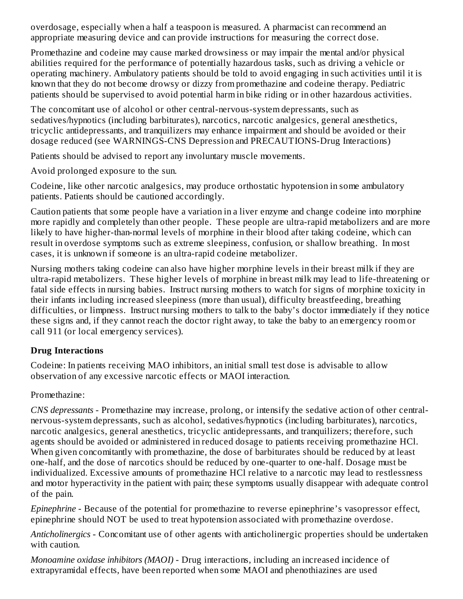overdosage, especially when a half a teaspoon is measured. A pharmacist can recommend an appropriate measuring device and can provide instructions for measuring the correct dose.

Promethazine and codeine may cause marked drowsiness or may impair the mental and/or physical abilities required for the performance of potentially hazardous tasks, such as driving a vehicle or operating machinery. Ambulatory patients should be told to avoid engaging in such activities until it is known that they do not become drowsy or dizzy from promethazine and codeine therapy. Pediatric patients should be supervised to avoid potential harm in bike riding or in other hazardous activities.

The concomitant use of alcohol or other central-nervous-system depressants, such as sedatives/hypnotics (including barbiturates), narcotics, narcotic analgesics, general anesthetics, tricyclic antidepressants, and tranquilizers may enhance impairment and should be avoided or their dosage reduced (see WARNINGS-CNS Depression and PRECAUTIONS-Drug Interactions)

Patients should be advised to report any involuntary muscle movements.

Avoid prolonged exposure to the sun.

Codeine, like other narcotic analgesics, may produce orthostatic hypotension in some ambulatory patients. Patients should be cautioned accordingly.

Caution patients that some people have a variation in a liver enzyme and change codeine into morphine more rapidly and completely than other people. These people are ultra-rapid metabolizers and are more likely to have higher-than-normal levels of morphine in their blood after taking codeine, which can result in overdose symptoms such as extreme sleepiness, confusion, or shallow breathing. In most cases, it is unknown if someone is an ultra-rapid codeine metabolizer.

Nursing mothers taking codeine can also have higher morphine levels in their breast milk if they are ultra-rapid metabolizers. These higher levels of morphine in breast milk may lead to life-threatening or fatal side effects in nursing babies. Instruct nursing mothers to watch for signs of morphine toxicity in their infants including increased sleepiness (more than usual), difficulty breastfeeding, breathing difficulties, or limpness. Instruct nursing mothers to talk to the baby's doctor immediately if they notice these signs and, if they cannot reach the doctor right away, to take the baby to an emergency room or call 911 (or local emergency services).

### **Drug Interactions**

Codeine: In patients receiving MAO inhibitors, an initial small test dose is advisable to allow observation of any excessive narcotic effects or MAOI interaction.

Promethazine:

*CNS depressants* - Promethazine may increase, prolong, or intensify the sedative action of other centralnervous-system depressants, such as alcohol, sedatives/hypnotics (including barbiturates), narcotics, narcotic analgesics, general anesthetics, tricyclic antidepressants, and tranquilizers; therefore, such agents should be avoided or administered in reduced dosage to patients receiving promethazine HCl. When given concomitantly with promethazine, the dose of barbiturates should be reduced by at least one-half, and the dose of narcotics should be reduced by one-quarter to one-half. Dosage must be individualized. Excessive amounts of promethazine HCl relative to a narcotic may lead to restlessness and motor hyperactivity in the patient with pain; these symptoms usually disappear with adequate control of the pain.

*Epinephrine* - Because of the potential for promethazine to reverse epinephrine's vasopressor effect, epinephrine should NOT be used to treat hypotension associated with promethazine overdose.

*Anticholinergics* - Concomitant use of other agents with anticholinergic properties should be undertaken with caution.

*Monoamine oxidase inhibitors (MAOI)* - Drug interactions, including an increased incidence of extrapyramidal effects, have been reported when some MAOI and phenothiazines are used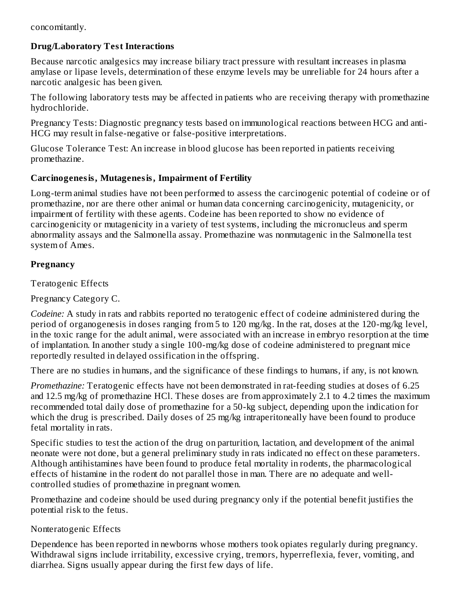concomitantly.

## **Drug/Laboratory Test Interactions**

Because narcotic analgesics may increase biliary tract pressure with resultant increases in plasma amylase or lipase levels, determination of these enzyme levels may be unreliable for 24 hours after a narcotic analgesic has been given.

The following laboratory tests may be affected in patients who are receiving therapy with promethazine hydrochloride.

Pregnancy Tests: Diagnostic pregnancy tests based on immunological reactions between HCG and anti-HCG may result in false-negative or false-positive interpretations.

Glucose Tolerance Test: An increase in blood glucose has been reported in patients receiving promethazine.

# **Carcinogenesis, Mutagenesis, Impairment of Fertility**

Long-term animal studies have not been performed to assess the carcinogenic potential of codeine or of promethazine, nor are there other animal or human data concerning carcinogenicity, mutagenicity, or impairment of fertility with these agents. Codeine has been reported to show no evidence of carcinogenicity or mutagenicity in a variety of test systems, including the micronucleus and sperm abnormality assays and the Salmonella assay. Promethazine was nonmutagenic in the Salmonella test system of Ames.

# **Pregnancy**

Teratogenic Effects

Pregnancy Category C.

*Codeine:* A study in rats and rabbits reported no teratogenic effect of codeine administered during the period of organogenesis in doses ranging from 5 to 120 mg/kg. In the rat, doses at the 120-mg/kg level, in the toxic range for the adult animal, were associated with an increase in embryo resorption at the time of implantation. In another study a single 100-mg/kg dose of codeine administered to pregnant mice reportedly resulted in delayed ossification in the offspring.

There are no studies in humans, and the significance of these findings to humans, if any, is not known.

*Promethazine:* Teratogenic effects have not been demonstrated in rat-feeding studies at doses of 6.25 and 12.5 mg/kg of promethazine HCl. These doses are from approximately 2.1 to 4.2 times the maximum recommended total daily dose of promethazine for a 50-kg subject, depending upon the indication for which the drug is prescribed. Daily doses of 25 mg/kg intraperitoneally have been found to produce fetal mortality in rats.

Specific studies to test the action of the drug on parturition, lactation, and development of the animal neonate were not done, but a general preliminary study in rats indicated no effect on these parameters. Although antihistamines have been found to produce fetal mortality in rodents, the pharmacological effects of histamine in the rodent do not parallel those in man. There are no adequate and wellcontrolled studies of promethazine in pregnant women.

Promethazine and codeine should be used during pregnancy only if the potential benefit justifies the potential risk to the fetus.

### Nonteratogenic Effects

Dependence has been reported in newborns whose mothers took opiates regularly during pregnancy. Withdrawal signs include irritability, excessive crying, tremors, hyperreflexia, fever, vomiting, and diarrhea. Signs usually appear during the first few days of life.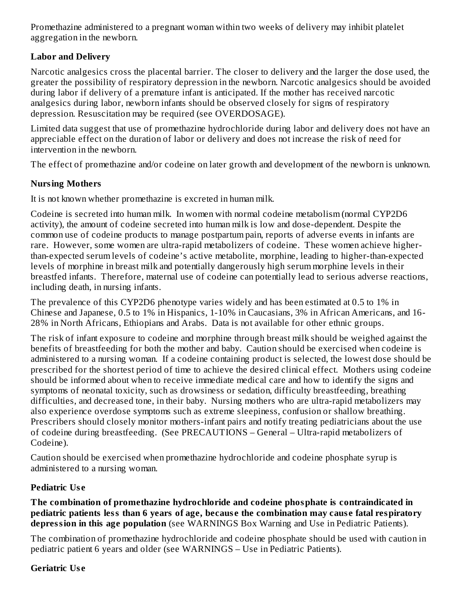Promethazine administered to a pregnant woman within two weeks of delivery may inhibit platelet aggregation in the newborn.

### **Labor and Delivery**

Narcotic analgesics cross the placental barrier. The closer to delivery and the larger the dose used, the greater the possibility of respiratory depression in the newborn. Narcotic analgesics should be avoided during labor if delivery of a premature infant is anticipated. If the mother has received narcotic analgesics during labor, newborn infants should be observed closely for signs of respiratory depression. Resuscitation may be required (see OVERDOSAGE).

Limited data suggest that use of promethazine hydrochloride during labor and delivery does not have an appreciable effect on the duration of labor or delivery and does not increase the risk of need for intervention in the newborn.

The effect of promethazine and/or codeine on later growth and development of the newborn is unknown.

# **Nursing Mothers**

It is not known whether promethazine is excreted in human milk.

Codeine is secreted into human milk. In women with normal codeine metabolism (normal CYP2D6 activity), the amount of codeine secreted into human milk is low and dose-dependent. Despite the common use of codeine products to manage postpartum pain, reports of adverse events in infants are rare. However, some women are ultra-rapid metabolizers of codeine. These women achieve higherthan-expected serum levels of codeine's active metabolite, morphine, leading to higher-than-expected levels of morphine in breast milk and potentially dangerously high serum morphine levels in their breastfed infants. Therefore, maternal use of codeine can potentially lead to serious adverse reactions, including death, in nursing infants.

The prevalence of this CYP2D6 phenotype varies widely and has been estimated at 0.5 to 1% in Chinese and Japanese, 0.5 to 1% in Hispanics, 1-10% in Caucasians, 3% in African Americans, and 16- 28% in North Africans, Ethiopians and Arabs. Data is not available for other ethnic groups.

The risk of infant exposure to codeine and morphine through breast milk should be weighed against the benefits of breastfeeding for both the mother and baby. Caution should be exercised when codeine is administered to a nursing woman. If a codeine containing product is selected, the lowest dose should be prescribed for the shortest period of time to achieve the desired clinical effect. Mothers using codeine should be informed about when to receive immediate medical care and how to identify the signs and symptoms of neonatal toxicity, such as drowsiness or sedation, difficulty breastfeeding, breathing difficulties, and decreased tone, in their baby. Nursing mothers who are ultra-rapid metabolizers may also experience overdose symptoms such as extreme sleepiness, confusion or shallow breathing. Prescribers should closely monitor mothers-infant pairs and notify treating pediatricians about the use of codeine during breastfeeding. (See PRECAUTIONS – General – Ultra-rapid metabolizers of Codeine).

Caution should be exercised when promethazine hydrochloride and codeine phosphate syrup is administered to a nursing woman.

# **Pediatric Us e**

### **The combination of promethazine hydrochloride and codeine phosphate is contraindicated in pediatric patients less than 6 years of age, becaus e the combination may caus e fatal respiratory depression in this age population** (see WARNINGS Box Warning and Use in Pediatric Patients).

The combination of promethazine hydrochloride and codeine phosphate should be used with caution in pediatric patient 6 years and older (see WARNINGS – Use in Pediatric Patients).

### **Geriatric Us e**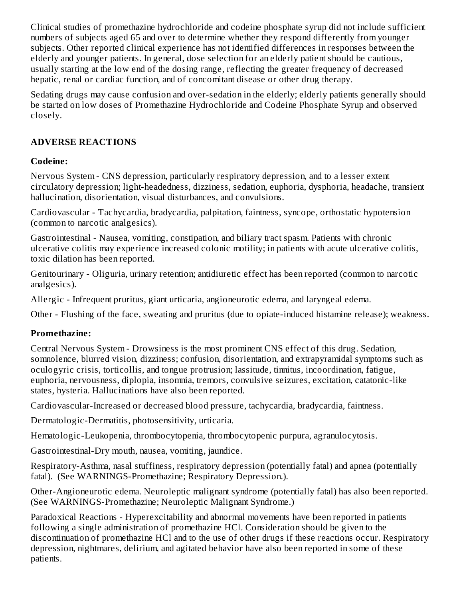Clinical studies of promethazine hydrochloride and codeine phosphate syrup did not include sufficient numbers of subjects aged 65 and over to determine whether they respond differently from younger subjects. Other reported clinical experience has not identified differences in responses between the elderly and younger patients. In general, dose selection for an elderly patient should be cautious, usually starting at the low end of the dosing range, reflecting the greater frequency of decreased hepatic, renal or cardiac function, and of concomitant disease or other drug therapy.

Sedating drugs may cause confusion and over-sedation in the elderly; elderly patients generally should be started on low doses of Promethazine Hydrochloride and Codeine Phosphate Syrup and observed closely.

# **ADVERSE REACTIONS**

# **Codeine:**

Nervous System - CNS depression, particularly respiratory depression, and to a lesser extent circulatory depression; light-headedness, dizziness, sedation, euphoria, dysphoria, headache, transient hallucination, disorientation, visual disturbances, and convulsions.

Cardiovascular - Tachycardia, bradycardia, palpitation, faintness, syncope, orthostatic hypotension (common to narcotic analgesics).

Gastrointestinal - Nausea, vomiting, constipation, and biliary tract spasm. Patients with chronic ulcerative colitis may experience increased colonic motility; in patients with acute ulcerative colitis, toxic dilation has been reported.

Genitourinary - Oliguria, urinary retention; antidiuretic effect has been reported (common to narcotic analgesics).

Allergic - Infrequent pruritus, giant urticaria, angioneurotic edema, and laryngeal edema.

Other - Flushing of the face, sweating and pruritus (due to opiate-induced histamine release); weakness.

# **Promethazine:**

Central Nervous System - Drowsiness is the most prominent CNS effect of this drug. Sedation, somnolence, blurred vision, dizziness; confusion, disorientation, and extrapyramidal symptoms such as oculogyric crisis, torticollis, and tongue protrusion; lassitude, tinnitus, incoordination, fatigue, euphoria, nervousness, diplopia, insomnia, tremors, convulsive seizures, excitation, catatonic-like states, hysteria. Hallucinations have also been reported.

Cardiovascular-Increased or decreased blood pressure, tachycardia, bradycardia, faintness.

Dermatologic-Dermatitis, photosensitivity, urticaria.

Hematologic-Leukopenia, thrombocytopenia, thrombocytopenic purpura, agranulocytosis.

Gastrointestinal-Dry mouth, nausea, vomiting, jaundice.

Respiratory-Asthma, nasal stuffiness, respiratory depression (potentially fatal) and apnea (potentially fatal). (See WARNINGS-Promethazine; Respiratory Depression.).

Other-Angioneurotic edema. Neuroleptic malignant syndrome (potentially fatal) has also been reported. (See WARNINGS-Promethazine; Neuroleptic Malignant Syndrome.)

Paradoxical Reactions - Hyperexcitability and abnormal movements have been reported in patients following a single administration of promethazine HCl. Consideration should be given to the discontinuation of promethazine HCl and to the use of other drugs if these reactions occur. Respiratory depression, nightmares, delirium, and agitated behavior have also been reported in some of these patients.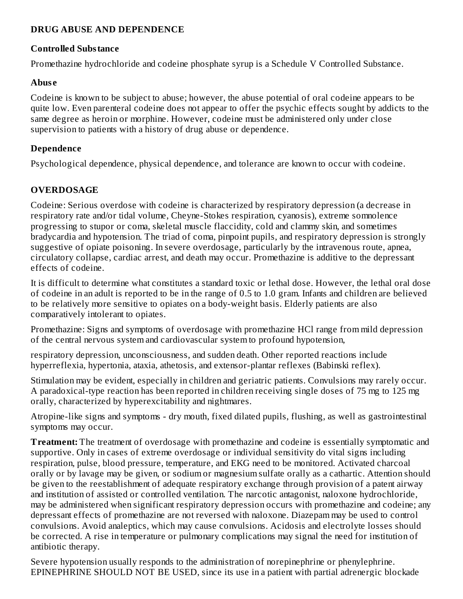### **DRUG ABUSE AND DEPENDENCE**

#### **Controlled Substance**

Promethazine hydrochloride and codeine phosphate syrup is a Schedule V Controlled Substance.

#### **Abus e**

Codeine is known to be subject to abuse; however, the abuse potential of oral codeine appears to be quite low. Even parenteral codeine does not appear to offer the psychic effects sought by addicts to the same degree as heroin or morphine. However, codeine must be administered only under close supervision to patients with a history of drug abuse or dependence.

### **Dependence**

Psychological dependence, physical dependence, and tolerance are known to occur with codeine.

### **OVERDOSAGE**

Codeine: Serious overdose with codeine is characterized by respiratory depression (a decrease in respiratory rate and/or tidal volume, Cheyne-Stokes respiration, cyanosis), extreme somnolence progressing to stupor or coma, skeletal muscle flaccidity, cold and clammy skin, and sometimes bradycardia and hypotension. The triad of coma, pinpoint pupils, and respiratory depression is strongly suggestive of opiate poisoning. In severe overdosage, particularly by the intravenous route, apnea, circulatory collapse, cardiac arrest, and death may occur. Promethazine is additive to the depressant effects of codeine.

It is difficult to determine what constitutes a standard toxic or lethal dose. However, the lethal oral dose of codeine in an adult is reported to be in the range of 0.5 to 1.0 gram. Infants and children are believed to be relatively more sensitive to opiates on a body-weight basis. Elderly patients are also comparatively intolerant to opiates.

Promethazine: Signs and symptoms of overdosage with promethazine HCl range from mild depression of the central nervous system and cardiovascular system to profound hypotension,

respiratory depression, unconsciousness, and sudden death. Other reported reactions include hyperreflexia, hypertonia, ataxia, athetosis, and extensor-plantar reflexes (Babinski reflex).

Stimulation may be evident, especially in children and geriatric patients. Convulsions may rarely occur. A paradoxical-type reaction has been reported in children receiving single doses of 75 mg to 125 mg orally, characterized by hyperexcitability and nightmares.

Atropine-like signs and symptoms - dry mouth, fixed dilated pupils, flushing, as well as gastrointestinal symptoms may occur.

**Treatment:** The treatment of overdosage with promethazine and codeine is essentially symptomatic and supportive. Only in cases of extreme overdosage or individual sensitivity do vital signs including respiration, pulse, blood pressure, temperature, and EKG need to be monitored. Activated charcoal orally or by lavage may be given, or sodium or magnesium sulfate orally as a cathartic. Attention should be given to the reestablishment of adequate respiratory exchange through provision of a patent airway and institution of assisted or controlled ventilation. The narcotic antagonist, naloxone hydrochloride, may be administered when significant respiratory depression occurs with promethazine and codeine; any depressant effects of promethazine are not reversed with naloxone. Diazepam may be used to control convulsions. Avoid analeptics, which may cause convulsions. Acidosis and electrolyte losses should be corrected. A rise in temperature or pulmonary complications may signal the need for institution of antibiotic therapy.

Severe hypotension usually responds to the administration of norepinephrine or phenylephrine. EPINEPHRINE SHOULD NOT BE USED, since its use in a patient with partial adrenergic blockade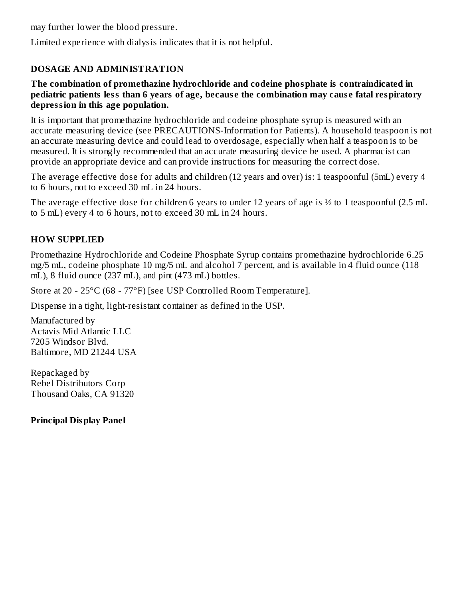may further lower the blood pressure.

Limited experience with dialysis indicates that it is not helpful.

### **DOSAGE AND ADMINISTRATION**

#### **The combination of promethazine hydrochloride and codeine phosphate is contraindicated in pediatric patients less than 6 years of age, becaus e the combination may caus e fatal respiratory depression in this age population.**

It is important that promethazine hydrochloride and codeine phosphate syrup is measured with an accurate measuring device (see PRECAUTIONS-Information for Patients). A household teaspoon is not an accurate measuring device and could lead to overdosage, especially when half a teaspoon is to be measured. It is strongly recommended that an accurate measuring device be used. A pharmacist can provide an appropriate device and can provide instructions for measuring the correct dose.

The average effective dose for adults and children (12 years and over) is: 1 teaspoonful (5mL) every 4 to 6 hours, not to exceed 30 mL in 24 hours.

The average effective dose for children 6 years to under 12 years of age is  $\frac{1}{2}$  to 1 teaspoonful (2.5 mL to 5 mL) every 4 to 6 hours, not to exceed 30 mL in 24 hours.

### **HOW SUPPLIED**

Promethazine Hydrochloride and Codeine Phosphate Syrup contains promethazine hydrochloride 6.25 mg/5 mL, codeine phosphate 10 mg/5 mL and alcohol 7 percent, and is available in 4 fluid ounce (118 mL), 8 fluid ounce (237 mL), and pint (473 mL) bottles.

Store at 20 - 25°C (68 - 77°F) [see USP Controlled Room Temperature].

Dispense in a tight, light-resistant container as defined in the USP.

Manufactured by Actavis Mid Atlantic LLC 7205 Windsor Blvd. Baltimore, MD 21244 USA

Repackaged by Rebel Distributors Corp Thousand Oaks, CA 91320

**Principal Display Panel**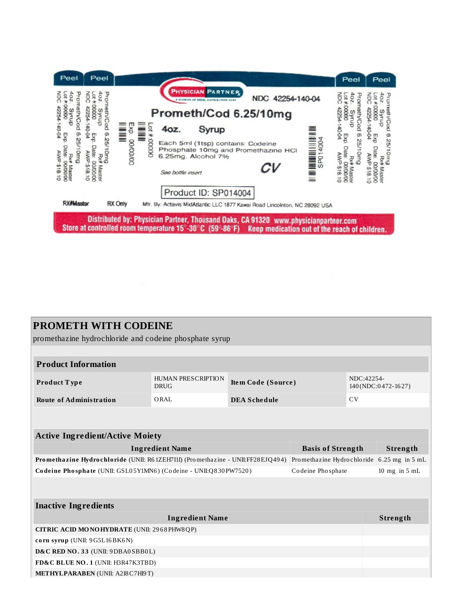| Peel<br>Peel                                                                                                                                                                                                                                                 |                                                                                                                                                                                                                                                                                                                      | Peel                                                                                                                                                                            | Peel                                                                                                      |
|--------------------------------------------------------------------------------------------------------------------------------------------------------------------------------------------------------------------------------------------------------------|----------------------------------------------------------------------------------------------------------------------------------------------------------------------------------------------------------------------------------------------------------------------------------------------------------------------|---------------------------------------------------------------------------------------------------------------------------------------------------------------------------------|-----------------------------------------------------------------------------------------------------------|
| 4oz<br>ă<br>20p<br>Prometh/Cod<br>000000.410<br>g<br>8888<br>42254<br>eth/Cod<br>druks<br>dnuks<br>/92'9<br>9.25/<br>š<br>Date:<br>Date:<br>Buu <sub>OL</sub><br>Buug<br>AWP:\$18.10<br>AWP:\$18.10<br>Hx#<br>习事<br>00/00/00<br>00/00/00<br>Master<br>Master | PHYSICIAN PARTNER.<br>NDC 42254-140-04<br><b>CISTRIBUTORS CORP.</b><br>Prometh/Cod 6.25/10mg<br>4oz.<br>₽<br>š<br>Syrup<br>E<br><b>MINITED</b><br>00000<br>00/00/00<br>Each 5ml (1tsp) contains: Codeine<br>Phosphate 10mg and Promethazine HCI<br>6.25mg. Alcohol 7%<br>ワレ<br>See bottle insert.                    | 종<br>20 <sub>b</sub><br>Prometh/Coc<br>410'<br>00000<br>42254<br>dnuks<br>140-04<br>140-04<br>6.25/<br><b>Date:</b><br>бшо<br>AWP:\$18.10<br>H×#<br><b>W Master</b><br>DOVDO/DO | 요<br>rometh/Cod<br>dnuks<br>Φ<br>묳<br>SE/10mg<br><b>Date:</b><br>AWP \$18.10<br>Rx#<br>00/00/00<br>Master |
| <b>FIX#Master</b>                                                                                                                                                                                                                                            | Product ID: SP014004<br><b>RX Only</b><br>Mfr. By: Actavis MidAtlantic LLC 1877 Kawai Road Lincolnton, NC 28092 USA<br>Distributed by: Physician Partner, Thousand Oaks, CA 91320 www.physicianpartner.com<br>Store at controlled room temperature 15°-30°C (59°-86°F) Keep medication out of the reach of children. |                                                                                                                                                                                 |                                                                                                           |

# **PROMETH WITH CODEINE**

promethazine hydrochloride and codeine phosphate syrup

| promethazine hydrochloride and codeine phosphate syrup                                                                       |                                          |                     |  |                 |                    |  |
|------------------------------------------------------------------------------------------------------------------------------|------------------------------------------|---------------------|--|-----------------|--------------------|--|
|                                                                                                                              |                                          |                     |  |                 |                    |  |
| <b>Product Information</b>                                                                                                   |                                          |                     |  |                 |                    |  |
| Product Type                                                                                                                 | <b>HUMAN PRESCRIPTION</b><br><b>DRUG</b> | Item Code (Source)  |  | NDC:42254-      | 140(NDC:0472-1627) |  |
| <b>Route of Administration</b>                                                                                               | ORAL                                     | <b>DEA Schedule</b> |  | CV              |                    |  |
|                                                                                                                              |                                          |                     |  |                 |                    |  |
|                                                                                                                              |                                          |                     |  |                 |                    |  |
| <b>Active Ingredient/Active Moiety</b>                                                                                       |                                          |                     |  |                 |                    |  |
| <b>Basis of Strength</b><br><b>Ingredient Name</b>                                                                           |                                          |                     |  |                 | Strength           |  |
| Promethazine Hydrochloride (UNII: R61ZEH7I1I) (Promethazine - UNII:FF28EJQ494)<br>Promethazine Hydrochloride 6.25 mg in 5 mL |                                          |                     |  |                 |                    |  |
| Codeine Phosphate (UNII: GSL05Y1MN6) (Codeine - UNII:Q830PW7520)<br>Codeine Phosphate                                        |                                          |                     |  | 10 mg in $5$ mL |                    |  |
|                                                                                                                              |                                          |                     |  |                 |                    |  |
|                                                                                                                              |                                          |                     |  |                 |                    |  |
| <b>Inactive Ingredients</b>                                                                                                  |                                          |                     |  |                 |                    |  |
| <b>Ingredient Name</b>                                                                                                       |                                          |                     |  |                 | Strength           |  |
| CITRIC ACID MONOHYDRATE (UNII: 2968 PHW8 QP)                                                                                 |                                          |                     |  |                 |                    |  |
| corn syrup (UNII: 9G5L16BK6N)                                                                                                |                                          |                     |  |                 |                    |  |
| D&C RED NO. 33 (UNII: 9DBA0SBB0L)                                                                                            |                                          |                     |  |                 |                    |  |
|                                                                                                                              | FD&C BLUE NO. 1 (UNII: H3R47K3TBD)       |                     |  |                 |                    |  |
| <b>METHYLPARABEN (UNII: A2I8C7HI9T)</b>                                                                                      |                                          |                     |  |                 |                    |  |